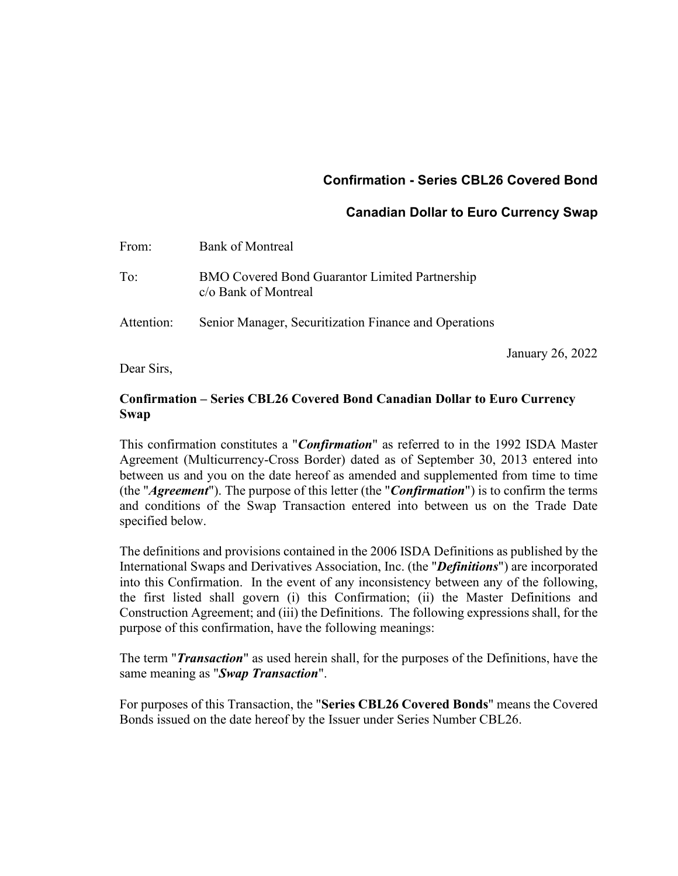# **Confirmation - Series CBL26 Covered Bond**

# **Canadian Dollar to Euro Currency Swap**

January 26, 2022

| From:      | <b>Bank of Montreal</b>                                                       |
|------------|-------------------------------------------------------------------------------|
| To:        | <b>BMO Covered Bond Guarantor Limited Partnership</b><br>c/o Bank of Montreal |
| Attention: | Senior Manager, Securitization Finance and Operations                         |

Dear Sirs,

# **Confirmation – Series CBL26 Covered Bond Canadian Dollar to Euro Currency Swap**

This confirmation constitutes a "*Confirmation*" as referred to in the 1992 ISDA Master Agreement (Multicurrency-Cross Border) dated as of September 30, 2013 entered into between us and you on the date hereof as amended and supplemented from time to time (the "*Agreement*"). The purpose of this letter (the "*Confirmation*") is to confirm the terms and conditions of the Swap Transaction entered into between us on the Trade Date specified below.

The definitions and provisions contained in the 2006 ISDA Definitions as published by the International Swaps and Derivatives Association, Inc. (the "*Definitions*") are incorporated into this Confirmation. In the event of any inconsistency between any of the following, the first listed shall govern (i) this Confirmation; (ii) the Master Definitions and Construction Agreement; and (iii) the Definitions. The following expressions shall, for the purpose of this confirmation, have the following meanings:

The term "*Transaction*" as used herein shall, for the purposes of the Definitions, have the same meaning as "*Swap Transaction*".

For purposes of this Transaction, the "**Series CBL26 Covered Bonds**" means the Covered Bonds issued on the date hereof by the Issuer under Series Number CBL26.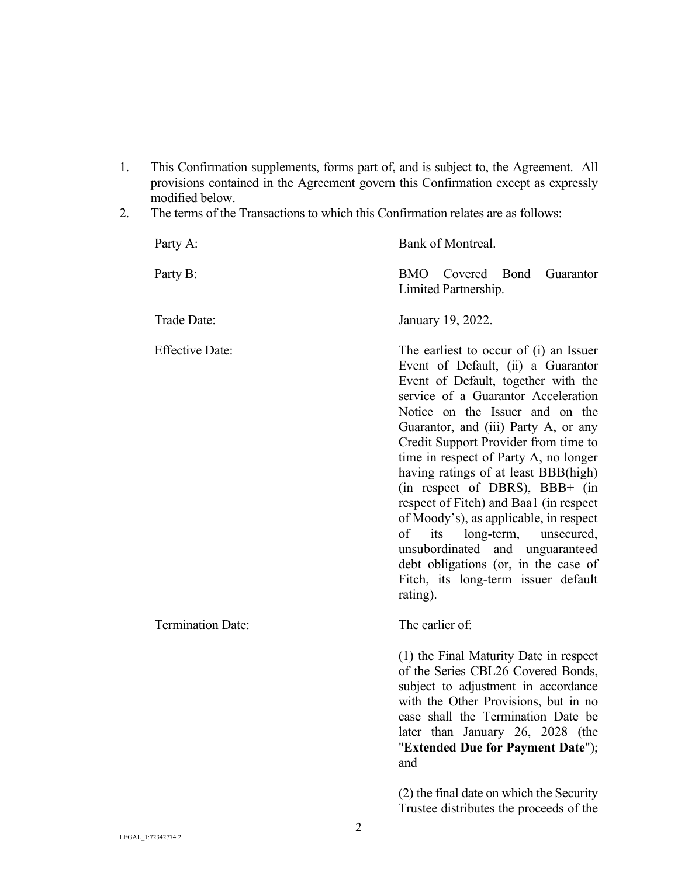- 1. This Confirmation supplements, forms part of, and is subject to, the Agreement. All provisions contained in the Agreement govern this Confirmation except as expressly modified below.
- 2. The terms of the Transactions to which this Confirmation relates are as follows:

| Party A:                 | Bank of Montreal.                                                                                                                                                                                                                                                                                                                                                                                                                                                                                                                                                                                                                                           |
|--------------------------|-------------------------------------------------------------------------------------------------------------------------------------------------------------------------------------------------------------------------------------------------------------------------------------------------------------------------------------------------------------------------------------------------------------------------------------------------------------------------------------------------------------------------------------------------------------------------------------------------------------------------------------------------------------|
| Party B:                 | BMO Covered<br>Bond<br>Guarantor<br>Limited Partnership.                                                                                                                                                                                                                                                                                                                                                                                                                                                                                                                                                                                                    |
| Trade Date:              | January 19, 2022.                                                                                                                                                                                                                                                                                                                                                                                                                                                                                                                                                                                                                                           |
| <b>Effective Date:</b>   | The earliest to occur of (i) an Issuer<br>Event of Default, (ii) a Guarantor<br>Event of Default, together with the<br>service of a Guarantor Acceleration<br>Notice on the Issuer and on the<br>Guarantor, and (iii) Party A, or any<br>Credit Support Provider from time to<br>time in respect of Party A, no longer<br>having ratings of at least BBB(high)<br>(in respect of DBRS), BBB+ (in<br>respect of Fitch) and Baa1 (in respect<br>of Moody's), as applicable, in respect<br>of<br>its<br>long-term,<br>unsecured,<br>unsubordinated and unguaranteed<br>debt obligations (or, in the case of<br>Fitch, its long-term issuer default<br>rating). |
| <b>Termination Date:</b> | The earlier of:                                                                                                                                                                                                                                                                                                                                                                                                                                                                                                                                                                                                                                             |
|                          | (1) the Final Maturity Date in respect<br>of the Series CBL26 Covered Bonds,<br>subject to adjustment in accordance<br>with the Other Provisions, but in no<br>case shall the Termination Date be<br>later than January 26, 2028 (the<br>"Extended Due for Payment Date");<br>and                                                                                                                                                                                                                                                                                                                                                                           |
|                          | (2) the final date on which the Security<br>Trustee distributes the proceeds of the                                                                                                                                                                                                                                                                                                                                                                                                                                                                                                                                                                         |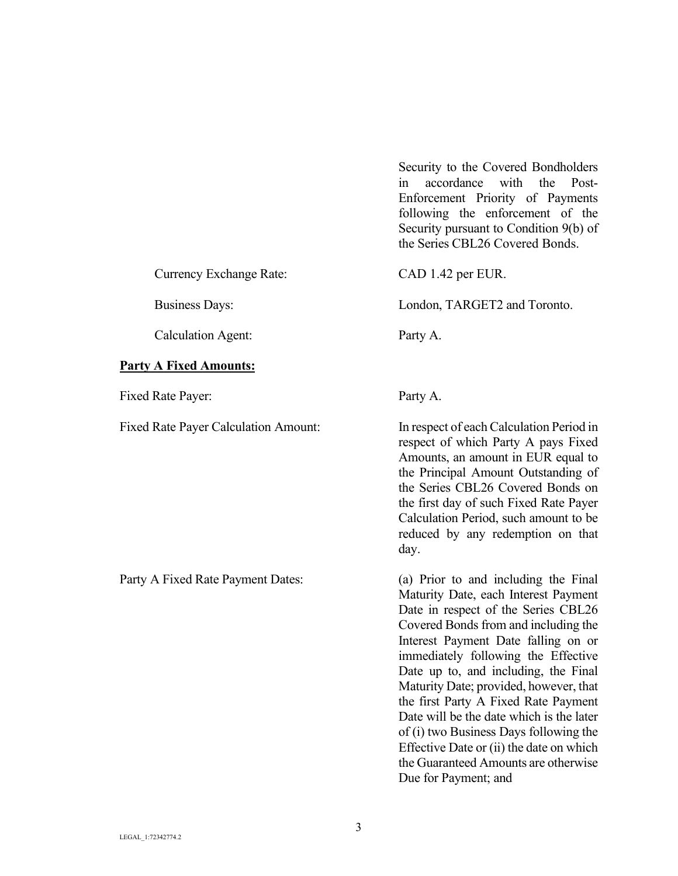Security to the Covered Bondholders in accordance with the Post-Enforcement Priority of Payments following the enforcement of the Security pursuant to Condition 9(b) of the Series CBL26 Covered Bonds.

Currency Exchange Rate: CAD 1.42 per EUR.

Business Days: London, TARGET2 and Toronto.

Calculation Agent: Party A.

## **Party A Fixed Amounts:**

Fixed Rate Payer: Party A.

Fixed Rate Payer Calculation Amount: In respect of each Calculation Period in respect of which Party A pays Fixed Amounts, an amount in EUR equal to the Principal Amount Outstanding of the Series CBL26 Covered Bonds on the first day of such Fixed Rate Payer Calculation Period, such amount to be

reduced by any redemption on that

day.

Party A Fixed Rate Payment Dates: (a) Prior to and including the Final Maturity Date, each Interest Payment Date in respect of the Series CBL26 Covered Bonds from and including the Interest Payment Date falling on or immediately following the Effective Date up to, and including, the Final Maturity Date; provided, however, that the first Party A Fixed Rate Payment Date will be the date which is the later of (i) two Business Days following the Effective Date or (ii) the date on which the Guaranteed Amounts are otherwise Due for Payment; and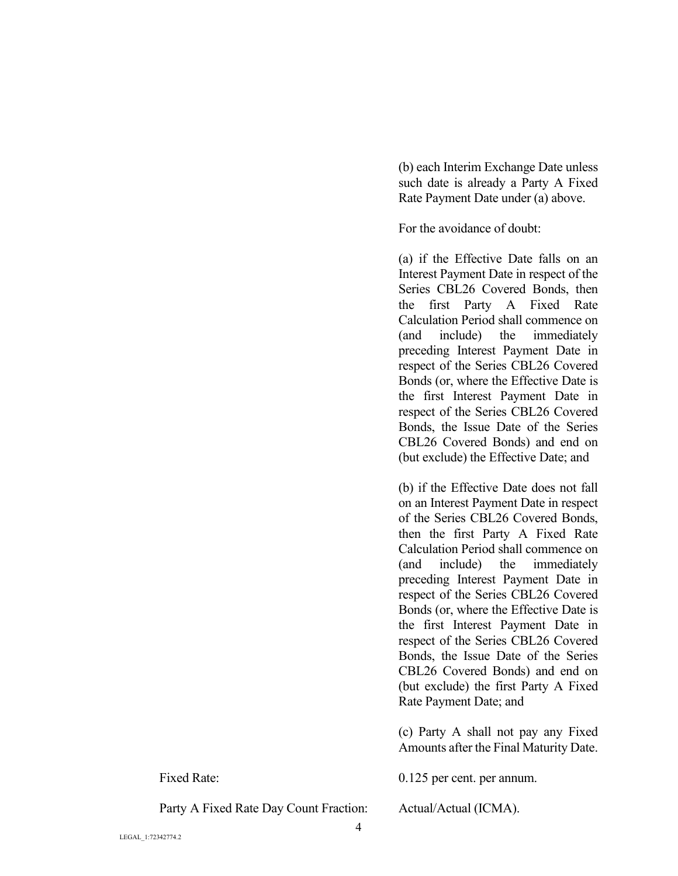(b) each Interim Exchange Date unless such date is already a Party A Fixed Rate Payment Date under (a) above.

For the avoidance of doubt:

(a) if the Effective Date falls on an Interest Payment Date in respect of the Series CBL26 Covered Bonds, then the first Party A Fixed Rate Calculation Period shall commence on (and include) the immediately preceding Interest Payment Date in respect of the Series CBL26 Covered Bonds (or, where the Effective Date is the first Interest Payment Date in respect of the Series CBL26 Covered Bonds, the Issue Date of the Series CBL26 Covered Bonds) and end on (but exclude) the Effective Date; and

(b) if the Effective Date does not fall on an Interest Payment Date in respect of the Series CBL26 Covered Bonds, then the first Party A Fixed Rate Calculation Period shall commence on (and include) the immediately preceding Interest Payment Date in respect of the Series CBL26 Covered Bonds (or, where the Effective Date is the first Interest Payment Date in respect of the Series CBL26 Covered Bonds, the Issue Date of the Series CBL26 Covered Bonds) and end on (but exclude) the first Party A Fixed Rate Payment Date; and

(c) Party A shall not pay any Fixed Amounts after the Final Maturity Date.

Fixed Rate: 0.125 per cent. per annum.

Party A Fixed Rate Day Count Fraction: Actual/Actual (ICMA).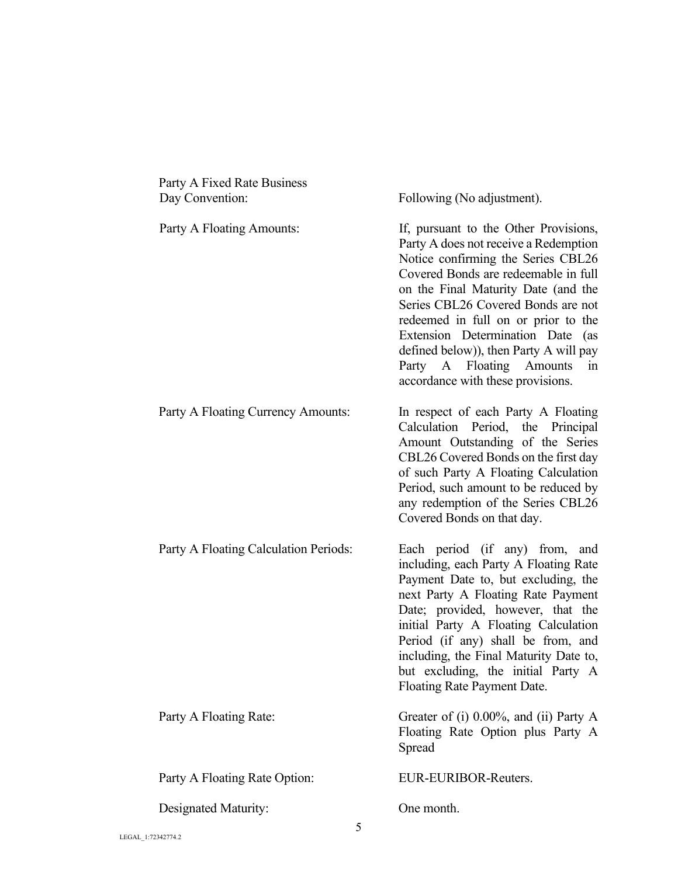| Party A Fixed Rate Business<br>Day Convention: | Following (No adjustment).                                                                                                                                                                                                                                                                                                                                                                                                            |
|------------------------------------------------|---------------------------------------------------------------------------------------------------------------------------------------------------------------------------------------------------------------------------------------------------------------------------------------------------------------------------------------------------------------------------------------------------------------------------------------|
| Party A Floating Amounts:                      | If, pursuant to the Other Provisions,<br>Party A does not receive a Redemption<br>Notice confirming the Series CBL26<br>Covered Bonds are redeemable in full<br>on the Final Maturity Date (and the<br>Series CBL26 Covered Bonds are not<br>redeemed in full on or prior to the<br>Extension Determination Date (as<br>defined below)), then Party A will pay<br>Party A Floating Amounts<br>in<br>accordance with these provisions. |
| Party A Floating Currency Amounts:             | In respect of each Party A Floating<br>Calculation Period, the Principal<br>Amount Outstanding of the Series<br>CBL26 Covered Bonds on the first day<br>of such Party A Floating Calculation<br>Period, such amount to be reduced by<br>any redemption of the Series CBL26<br>Covered Bonds on that day.                                                                                                                              |
| Party A Floating Calculation Periods:          | Each period (if any) from, and<br>including, each Party A Floating Rate<br>Payment Date to, but excluding, the<br>next Party A Floating Rate Payment<br>Date; provided, however, that the<br>initial Party A Floating Calculation<br>Period (if any) shall be from, and<br>including, the Final Maturity Date to,<br>but excluding, the initial Party A<br>Floating Rate Payment Date.                                                |
| Party A Floating Rate:                         | Greater of (i) $0.00\%$ , and (ii) Party A<br>Floating Rate Option plus Party A<br>Spread                                                                                                                                                                                                                                                                                                                                             |
| Party A Floating Rate Option:                  | EUR-EURIBOR-Reuters.                                                                                                                                                                                                                                                                                                                                                                                                                  |
| Designated Maturity:                           | One month.                                                                                                                                                                                                                                                                                                                                                                                                                            |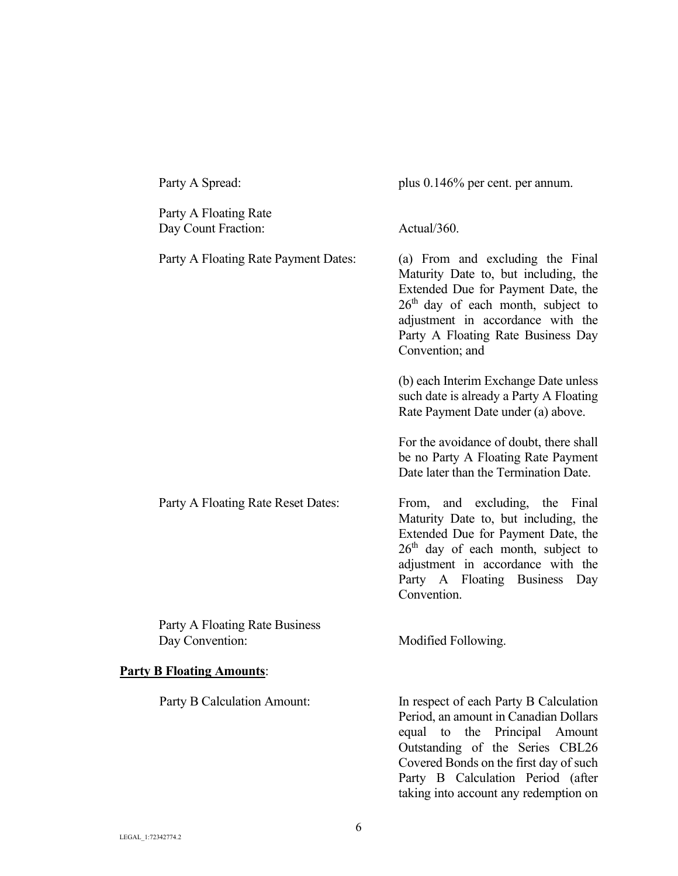| Party A Spread:                                   | plus $0.146\%$ per cent. per annum.                                                                                                                                                                                                                                         |
|---------------------------------------------------|-----------------------------------------------------------------------------------------------------------------------------------------------------------------------------------------------------------------------------------------------------------------------------|
| Party A Floating Rate<br>Day Count Fraction:      | Actual/360.                                                                                                                                                                                                                                                                 |
| Party A Floating Rate Payment Dates:              | (a) From and excluding the Final<br>Maturity Date to, but including, the<br>Extended Due for Payment Date, the<br>$26th$ day of each month, subject to<br>adjustment in accordance with the<br>Party A Floating Rate Business Day<br>Convention; and                        |
|                                                   | (b) each Interim Exchange Date unless<br>such date is already a Party A Floating<br>Rate Payment Date under (a) above.                                                                                                                                                      |
|                                                   | For the avoidance of doubt, there shall<br>be no Party A Floating Rate Payment<br>Date later than the Termination Date.                                                                                                                                                     |
| Party A Floating Rate Reset Dates:                | From, and excluding, the Final<br>Maturity Date to, but including, the<br>Extended Due for Payment Date, the<br>$26th$ day of each month, subject to<br>adjustment in accordance with the<br>Party A Floating Business Day<br>Convention.                                   |
| Party A Floating Rate Business<br>Day Convention: | Modified Following.                                                                                                                                                                                                                                                         |
| <b>Party B Floating Amounts:</b>                  |                                                                                                                                                                                                                                                                             |
| Party B Calculation Amount:                       | In respect of each Party B Calculation<br>Period, an amount in Canadian Dollars<br>equal to the Principal Amount<br>Outstanding of the Series CBL26<br>Covered Bonds on the first day of such<br>Party B Calculation Period (after<br>taking into account any redemption on |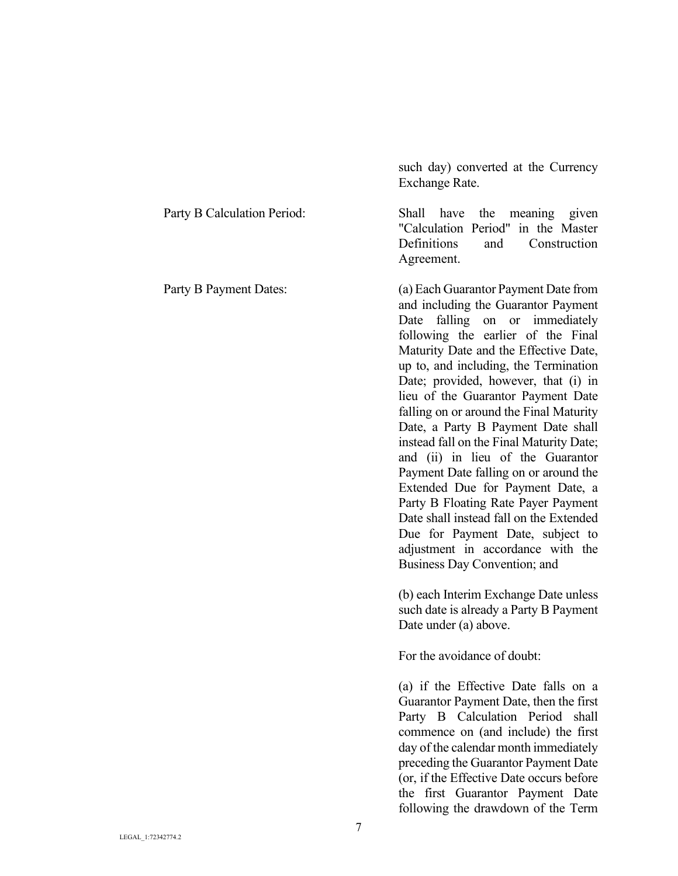|                             | Exchange Rate.                                                                                                                                                                                                                                                                                                                                                                                                                                                                                                                                                                                                                                                                                                                                                   |
|-----------------------------|------------------------------------------------------------------------------------------------------------------------------------------------------------------------------------------------------------------------------------------------------------------------------------------------------------------------------------------------------------------------------------------------------------------------------------------------------------------------------------------------------------------------------------------------------------------------------------------------------------------------------------------------------------------------------------------------------------------------------------------------------------------|
| Party B Calculation Period: | Shall<br>the meaning given<br>have<br>"Calculation Period" in the Master<br>Definitions<br>and<br>Construction<br>Agreement.                                                                                                                                                                                                                                                                                                                                                                                                                                                                                                                                                                                                                                     |
| Party B Payment Dates:      | (a) Each Guarantor Payment Date from<br>and including the Guarantor Payment<br>falling on or immediately<br>Date<br>following the earlier of the Final<br>Maturity Date and the Effective Date,<br>up to, and including, the Termination<br>Date; provided, however, that (i) in<br>lieu of the Guarantor Payment Date<br>falling on or around the Final Maturity<br>Date, a Party B Payment Date shall<br>instead fall on the Final Maturity Date;<br>and (ii) in lieu of the Guarantor<br>Payment Date falling on or around the<br>Extended Due for Payment Date, a<br>Party B Floating Rate Payer Payment<br>Date shall instead fall on the Extended<br>Due for Payment Date, subject to<br>adjustment in accordance with the<br>Business Day Convention; and |
|                             | (b) each Interim Exchange Date unless<br>such date is already a Party B Payment<br>Date under (a) above.<br>For the avoidance of doubt:<br>(a) if the Effective Date falls on a<br>Guarantor Payment Date, then the first<br>Calculation Period shall<br>Party B<br>commence on (and include) the first<br>day of the calendar month immediately<br>preceding the Guarantor Payment Date<br>(or, if the Effective Date occurs before                                                                                                                                                                                                                                                                                                                             |

such day) converted at the Currency

the first Guarantor Payment Date following the drawdown of the Term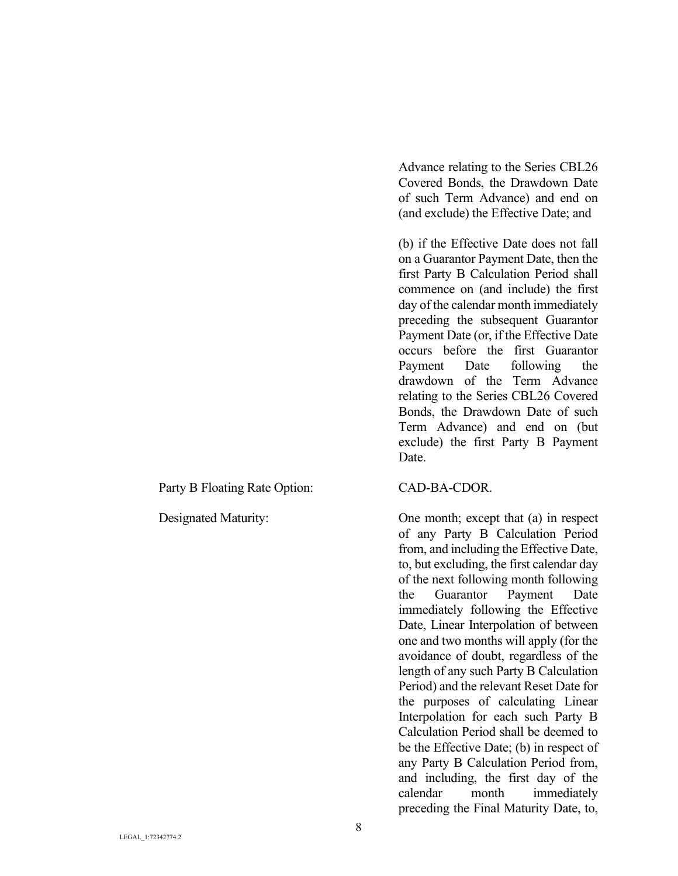Party B Floating Rate Option: CAD-BA-CDOR.

Advance relating to the Series CBL26 Covered Bonds, the Drawdown Date of such Term Advance) and end on (and exclude) the Effective Date; and

(b) if the Effective Date does not fall on a Guarantor Payment Date, then the first Party B Calculation Period shall commence on (and include) the first day of the calendar month immediately preceding the subsequent Guarantor Payment Date (or, if the Effective Date occurs before the first Guarantor Payment Date following the drawdown of the Term Advance relating to the Series CBL26 Covered Bonds, the Drawdown Date of such Term Advance) and end on (but exclude) the first Party B Payment Date.

Designated Maturity: One month; except that (a) in respect of any Party B Calculation Period from, and including the Effective Date, to, but excluding, the first calendar day of the next following month following the Guarantor Payment Date immediately following the Effective Date, Linear Interpolation of between one and two months will apply (for the avoidance of doubt, regardless of the length of any such Party B Calculation Period) and the relevant Reset Date for the purposes of calculating Linear Interpolation for each such Party B Calculation Period shall be deemed to be the Effective Date; (b) in respect of any Party B Calculation Period from, and including, the first day of the calendar month immediately preceding the Final Maturity Date, to,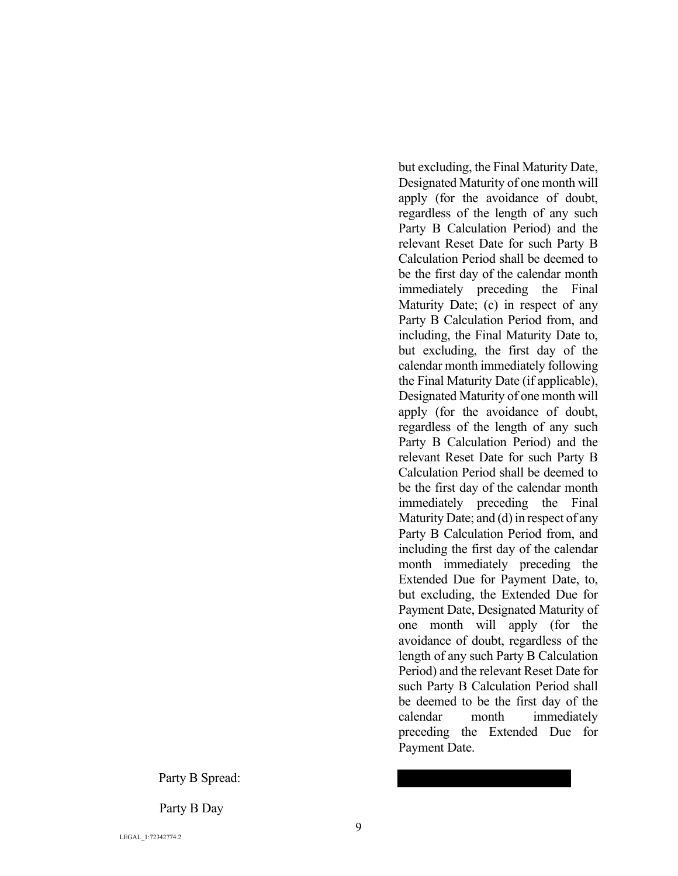Party B Spread:

Party B Day

but excluding, the Final Maturity Date, Designated Maturity of one month will apply (for the avoidance of doubt, regardless of the length of any such Party B Calculation Period) and the relevant Reset Date for such Party B Calculation Period shall be deemed to be the first day of the calendar month immediately preceding the Final Maturity Date; (c) in respect of any Party B Calculation Period from, and including, the Final Maturity Date to, but excluding, the first day of the calendar month immediately following the Final Maturity Date (if applicable), Designated Maturity of one month will apply (for the avoidance of doubt, regardless of the length of any such Party B Calculation Period) and the relevant Reset Date for such Party B Calculation Period shall be deemed to be the first day of the calendar month immediately preceding the Final Maturity Date; and (d) in respect of any Party B Calculation Period from, and including the first day of the calendar month immediately preceding the Extended Due for Payment Date, to, but excluding, the Extended Due for Payment Date, Designated Maturity of one month will apply (for the avoidance of doubt, regardless of the length of any such Party B Calculation Period) and the relevant Reset Date for such Party B Calculation Period shall be deemed to be the first day of the calendar month immediately preceding the Extended Due for Payment Date.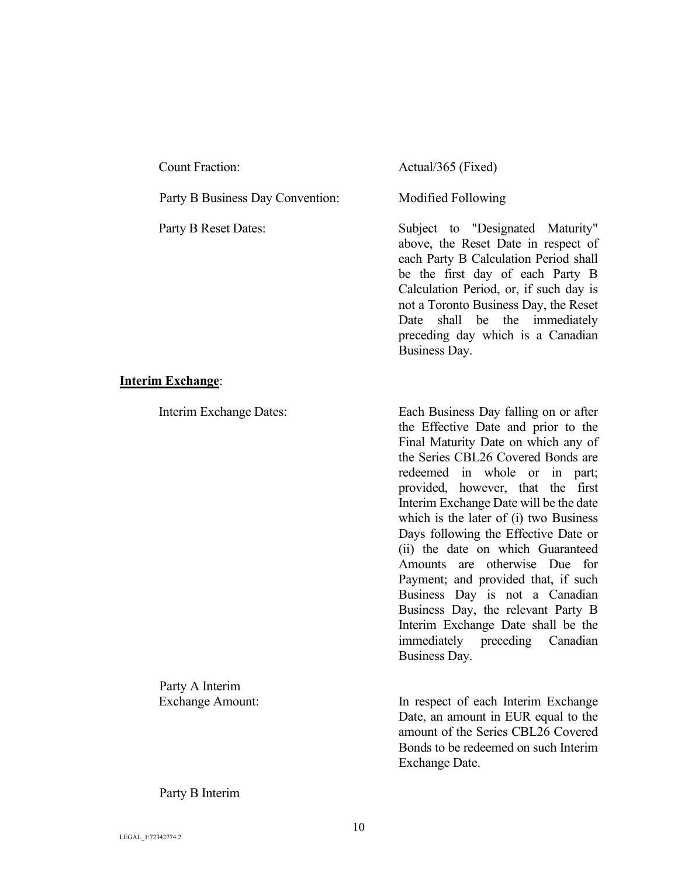| <b>Count Fraction:</b>           |  |
|----------------------------------|--|
| Party B Business Day Convention: |  |
| Party B Reset Dates:             |  |
|                                  |  |
|                                  |  |
|                                  |  |
|                                  |  |

### **Interim Exchange**:

Party A Interim

Actual/365 (Fixed)

Modified Following

Subject to "Designated Maturity" above, the Reset Date in respect of each Party B Calculation Period shall be the first day of each Party B Calculation Period, or, if such day is not a Toronto Business Day, the Reset Date shall be the immediately preceding day which is a Canadian Business Day.

Interim Exchange Dates: Each Business Day falling on or after the Effective Date and prior to the Final Maturity Date on which any of the Series CBL26 Covered Bonds are redeemed in whole or in part; provided, however, that the first Interim Exchange Date will be the date which is the later of (i) two Business Days following the Effective Date or (ii) the date on which Guaranteed Amounts are otherwise Due for Payment; and provided that, if such Business Day is not a Canadian Business Day, the relevant Party B Interim Exchange Date shall be the immediately preceding Canadian Business Day.

Exchange Amount: In respect of each Interim Exchange Date, an amount in EUR equal to the amount of the Series CBL26 Covered Bonds to be redeemed on such Interim Exchange Date.

Party B Interim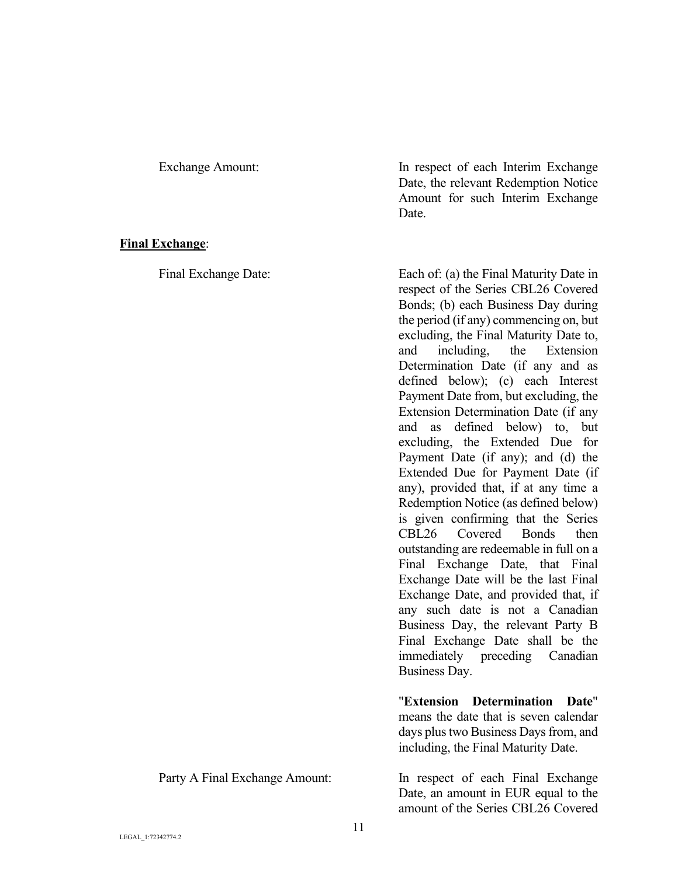## **Final Exchange**:

Exchange Amount: In respect of each Interim Exchange Date, the relevant Redemption Notice Amount for such Interim Exchange Date.

Final Exchange Date: Each of: (a) the Final Maturity Date in respect of the Series CBL26 Covered Bonds; (b) each Business Day during the period (if any) commencing on, but excluding, the Final Maturity Date to, and including, the Extension Determination Date (if any and as defined below); (c) each Interest Payment Date from, but excluding, the Extension Determination Date (if any and as defined below) to, but excluding, the Extended Due for Payment Date (if any); and (d) the Extended Due for Payment Date (if any), provided that, if at any time a Redemption Notice (as defined below) is given confirming that the Series CBL26 Covered Bonds then outstanding are redeemable in full on a Final Exchange Date, that Final Exchange Date will be the last Final Exchange Date, and provided that, if any such date is not a Canadian Business Day, the relevant Party B Final Exchange Date shall be the immediately preceding Canadian Business Day.

> "**Extension Determination Date**" means the date that is seven calendar days plus two Business Days from, and including, the Final Maturity Date.

Party A Final Exchange Amount: In respect of each Final Exchange Date, an amount in EUR equal to the amount of the Series CBL26 Covered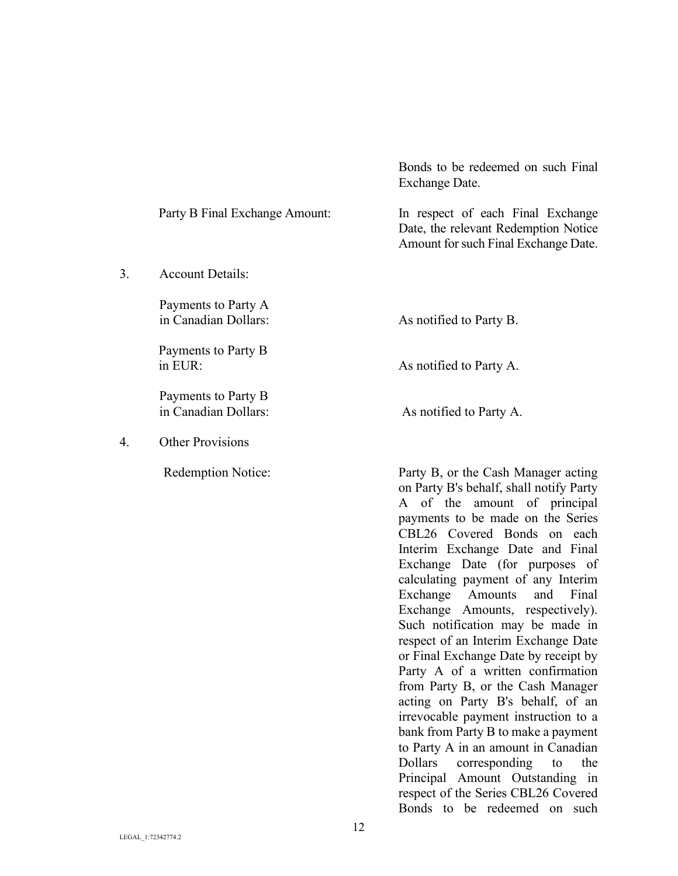|    |                                             | EXCHange Date.                                                                                                                                                                                                                                                                                                                                                                                                                                                                                                                                                                                                                                           |
|----|---------------------------------------------|----------------------------------------------------------------------------------------------------------------------------------------------------------------------------------------------------------------------------------------------------------------------------------------------------------------------------------------------------------------------------------------------------------------------------------------------------------------------------------------------------------------------------------------------------------------------------------------------------------------------------------------------------------|
|    | Party B Final Exchange Amount:              | In respect of each Final Exchange<br>Date, the relevant Redemption Notice<br>Amount for such Final Exchange Date.                                                                                                                                                                                                                                                                                                                                                                                                                                                                                                                                        |
| 3. | <b>Account Details:</b>                     |                                                                                                                                                                                                                                                                                                                                                                                                                                                                                                                                                                                                                                                          |
|    | Payments to Party A<br>in Canadian Dollars: | As notified to Party B.                                                                                                                                                                                                                                                                                                                                                                                                                                                                                                                                                                                                                                  |
|    | Payments to Party B<br>in EUR:              | As notified to Party A.                                                                                                                                                                                                                                                                                                                                                                                                                                                                                                                                                                                                                                  |
|    | Payments to Party B<br>in Canadian Dollars: | As notified to Party A.                                                                                                                                                                                                                                                                                                                                                                                                                                                                                                                                                                                                                                  |
| 4. | <b>Other Provisions</b>                     |                                                                                                                                                                                                                                                                                                                                                                                                                                                                                                                                                                                                                                                          |
|    | <b>Redemption Notice:</b>                   | Party B, or the Cash Manager acting<br>on Party B's behalf, shall notify Party<br>of the<br>amount of principal<br>A<br>payments to be made on the Series<br>CBL26 Covered Bonds on each<br>Interim Exchange Date and Final<br>Exchange Date (for purposes of<br>calculating payment of any Interim<br>Exchange<br>Amounts<br>and<br>Final<br>Exchange Amounts, respectively).<br>Such notification may be made in<br>respect of an Interim Exchange Date<br>or Final Exchange Date by receipt by<br>Party A of a written confirmation<br>from Party B, or the Cash Manager<br>acting on Party B's behalf, of an<br>irrevocable payment instruction to a |

Bonds to be redeemed on such Final Exchange Date.

bank from Party B to make a payment to Party A in an amount in Canadian<br>Dollars corresponding to the

Principal Amount Outstanding in respect of the Series CBL26 Covered Bonds to be redeemed on such

Dollars corresponding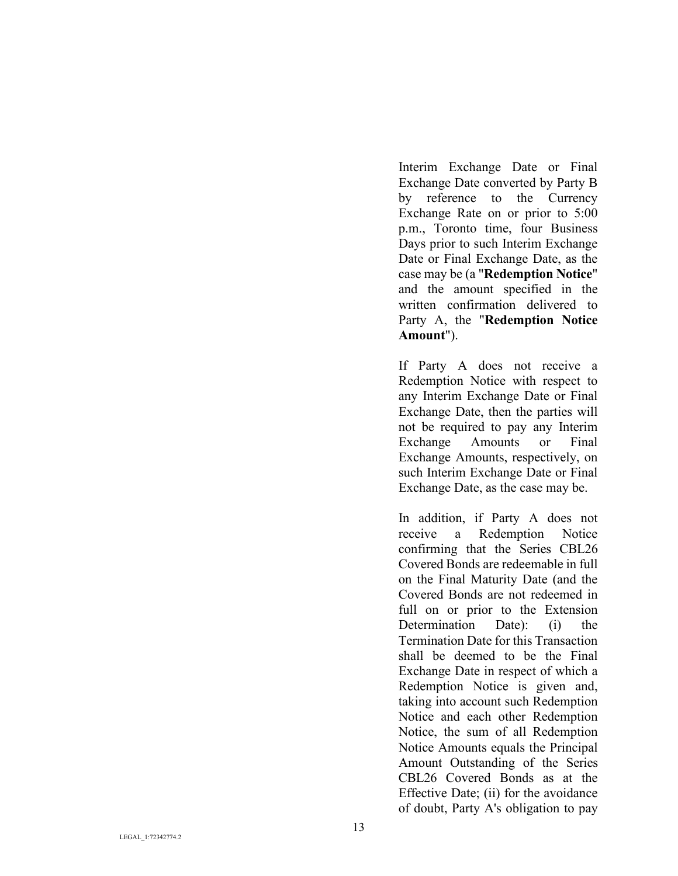Interim Exchange Date or Final Exchange Date converted by Party B by reference to the Currency Exchange Rate on or prior to 5:00 p.m., Toronto time, four Business Days prior to such Interim Exchange Date or Final Exchange Date, as the case may be (a "**Redemption Notice**" and the amount specified in the written confirmation delivered to Party A, the "**Redemption Notice Amount**").

If Party A does not receive a Redemption Notice with respect to any Interim Exchange Date or Final Exchange Date, then the parties will not be required to pay any Interim Exchange Amounts or Final Exchange Amounts, respectively, on such Interim Exchange Date or Final Exchange Date, as the case may be.

In addition, if Party A does not receive a Redemption Notice confirming that the Series CBL26 Covered Bonds are redeemable in full on the Final Maturity Date (and the Covered Bonds are not redeemed in full on or prior to the Extension Determination Date): (i) the Termination Date for this Transaction shall be deemed to be the Final Exchange Date in respect of which a Redemption Notice is given and, taking into account such Redemption Notice and each other Redemption Notice, the sum of all Redemption Notice Amounts equals the Principal Amount Outstanding of the Series CBL26 Covered Bonds as at the Effective Date; (ii) for the avoidance of doubt, Party A's obligation to pay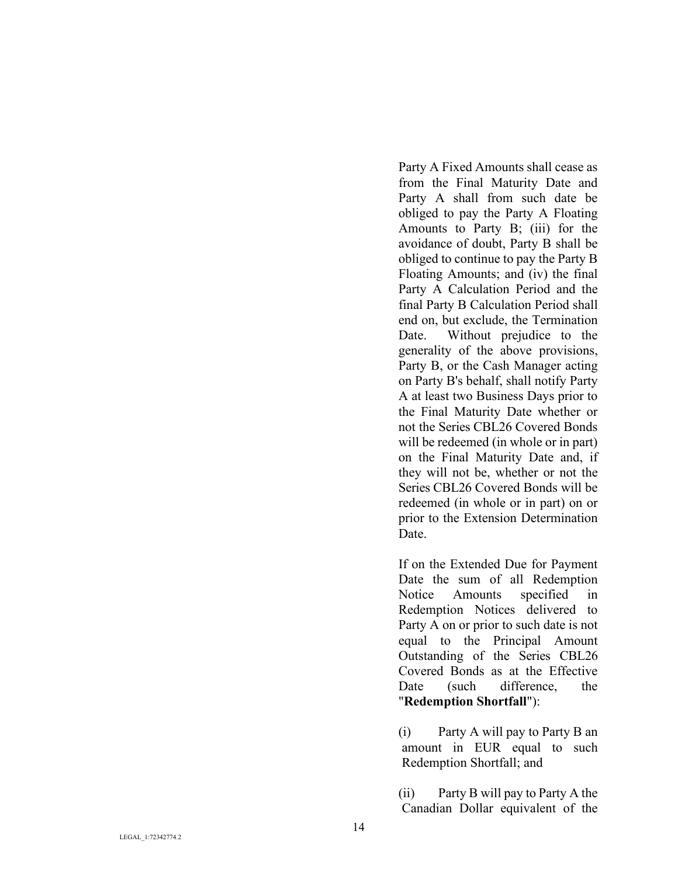Party A Fixed Amounts shall cease as from the Final Maturity Date and Party A shall from such date be obliged to pay the Party A Floating Amounts to Party B; (iii) for the avoidance of doubt, Party B shall be obliged to continue to pay the Party B Floating Amounts; and (iv) the final Party A Calculation Period and the final Party B Calculation Period shall end on, but exclude, the Termination Date. Without prejudice to the generality of the above provisions, Party B, or the Cash Manager acting on Party B's behalf, shall notify Party A at least two Business Days prior to the Final Maturity Date whether or not the Series CBL26 Covered Bonds will be redeemed (in whole or in part) on the Final Maturity Date and, if they will not be, whether or not the Series CBL26 Covered Bonds will be redeemed (in whole or in part) on or prior to the Extension Determination Date.

If on the Extended Due for Payment Date the sum of all Redemption Notice Amounts specified in Redemption Notices delivered to Party A on or prior to such date is not equal to the Principal Amount Outstanding of the Series CBL26 Covered Bonds as at the Effective Date (such difference, the "**Redemption Shortfall**"):

(i) Party A will pay to Party B an amount in EUR equal to such Redemption Shortfall; and

(ii) Party B will pay to Party A the Canadian Dollar equivalent of the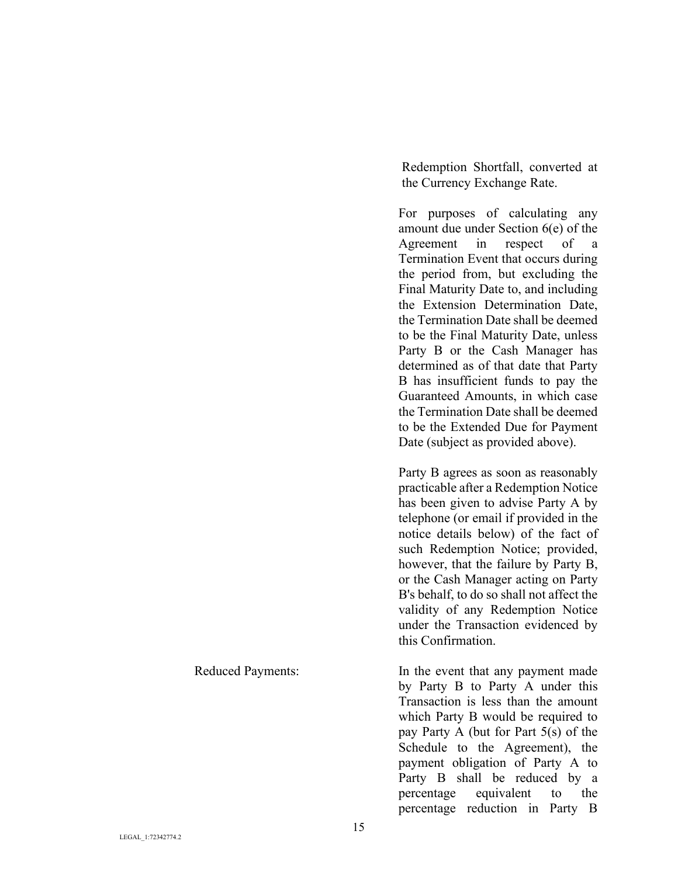Redemption Shortfall, converted at the Currency Exchange Rate.

For purposes of calculating any amount due under Section 6(e) of the Agreement in respect of a Termination Event that occurs during the period from, but excluding the Final Maturity Date to, and including the Extension Determination Date, the Termination Date shall be deemed to be the Final Maturity Date, unless Party B or the Cash Manager has determined as of that date that Party B has insufficient funds to pay the Guaranteed Amounts, in which case the Termination Date shall be deemed to be the Extended Due for Payment Date (subject as provided above).

Party B agrees as soon as reasonably practicable after a Redemption Notice has been given to advise Party A by telephone (or email if provided in the notice details below) of the fact of such Redemption Notice; provided, however, that the failure by Party B, or the Cash Manager acting on Party B's behalf, to do so shall not affect the validity of any Redemption Notice under the Transaction evidenced by this Confirmation.

Reduced Payments: In the event that any payment made by Party B to Party A under this Transaction is less than the amount which Party B would be required to pay Party A (but for Part 5(s) of the Schedule to the Agreement), the payment obligation of Party A to Party B shall be reduced by a percentage equivalent to the percentage reduction in Party B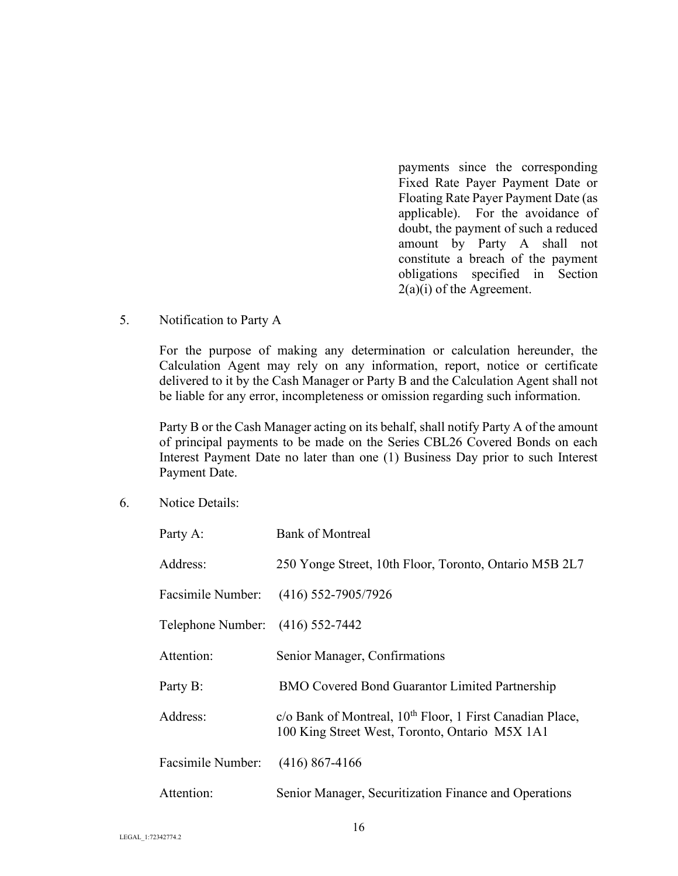payments since the corresponding Fixed Rate Payer Payment Date or Floating Rate Payer Payment Date (as applicable). For the avoidance of doubt, the payment of such a reduced amount by Party A shall not constitute a breach of the payment obligations specified in Section 2(a)(i) of the Agreement.

## 5. Notification to Party A

For the purpose of making any determination or calculation hereunder, the Calculation Agent may rely on any information, report, notice or certificate delivered to it by the Cash Manager or Party B and the Calculation Agent shall not be liable for any error, incompleteness or omission regarding such information.

Party B or the Cash Manager acting on its behalf, shall notify Party A of the amount of principal payments to be made on the Series CBL26 Covered Bonds on each Interest Payment Date no later than one (1) Business Day prior to such Interest Payment Date.

6. Notice Details:

| Party A:                         | <b>Bank of Montreal</b>                                                                                                 |  |  |
|----------------------------------|-------------------------------------------------------------------------------------------------------------------------|--|--|
| Address:                         | 250 Yonge Street, 10th Floor, Toronto, Ontario M5B 2L7                                                                  |  |  |
|                                  | Facsimile Number: (416) 552-7905/7926                                                                                   |  |  |
| Telephone Number: (416) 552-7442 |                                                                                                                         |  |  |
| Attention:                       | Senior Manager, Confirmations                                                                                           |  |  |
| Party B:                         | <b>BMO Covered Bond Guarantor Limited Partnership</b>                                                                   |  |  |
| Address:                         | c/o Bank of Montreal, 10 <sup>th</sup> Floor, 1 First Canadian Place,<br>100 King Street West, Toronto, Ontario M5X 1A1 |  |  |
| Facsimile Number:                | $(416)$ 867-4166                                                                                                        |  |  |
| Attention:                       | Senior Manager, Securitization Finance and Operations                                                                   |  |  |